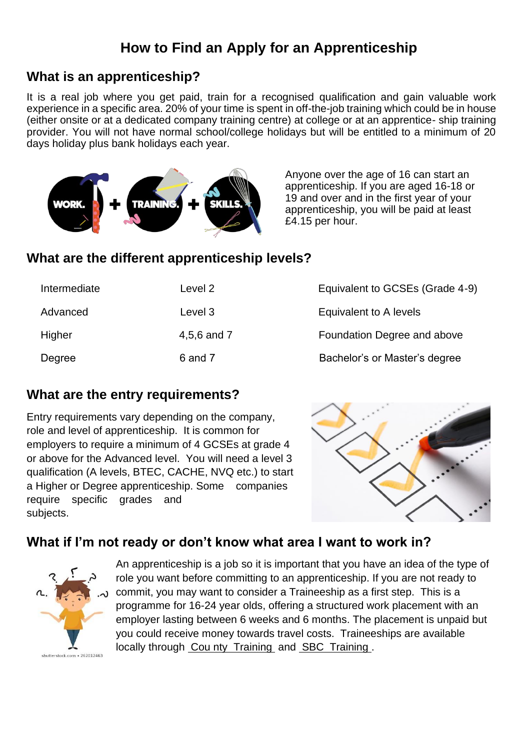# **How to Find an Apply for an Apprenticeship**

### **What is an apprenticeship?**

It is a real job where you get paid, train for a recognised qualification and gain valuable work experience in a specific area. 20% of your time is spent in off-the-job training which could be in house (either onsite or at a dedicated company training centre) at college or at an apprentice- ship training provider. You will not have normal school/college holidays but will be entitled to a minimum of 20 days holiday plus bank holidays each year.



Anyone over the age of 16 can start an apprenticeship. If you are aged 16-18 or 19 and over and in the first year of your apprenticeship, you will be paid at least £4.15 per hour.

## **What are the different apprenticeship levels?**

| Intermediate | Level 2     | Equivalent to GCSEs (Grade 4-9) |
|--------------|-------------|---------------------------------|
| Advanced     | Level 3     | Equivalent to A levels          |
| Higher       | 4,5,6 and 7 | Foundation Degree and above     |
| Degree       | 6 and 7     | Bachelor's or Master's degree   |

## **What are the entry requirements?**

Entry requirements vary depending on the company, role and level of apprenticeship. It is common for employers to require a minimum of 4 GCSEs at grade 4 or above for the Advanced level. You will need a level 3 qualification (A levels, BTEC, CACHE, NVQ etc.) to start a Higher or Degree apprenticeship. Some companies require specific grades and subjects.



## **What if I'm not ready or don't know what area I want to work in?**



An apprenticeship is a job so it is important that you have an idea of the type of role you want before committing to an apprenticeship. If you are not ready to commit, you may want to consider a Traineeship as a first step. This is a programme for 16-24 year olds, offering a structured work placement with an employer lasting between 6 weeks and 6 months. The placement is unpaid but you could receive money towards travel costs. Traineeships are available locally through [Cou nty Training and](https://www.ctapprenticeships.co.uk/16-18-advance/595e104a1dc62/Traineeships) [SBC Training .](https://www.sbc-training.co.uk/apprenticeship/traineeship/)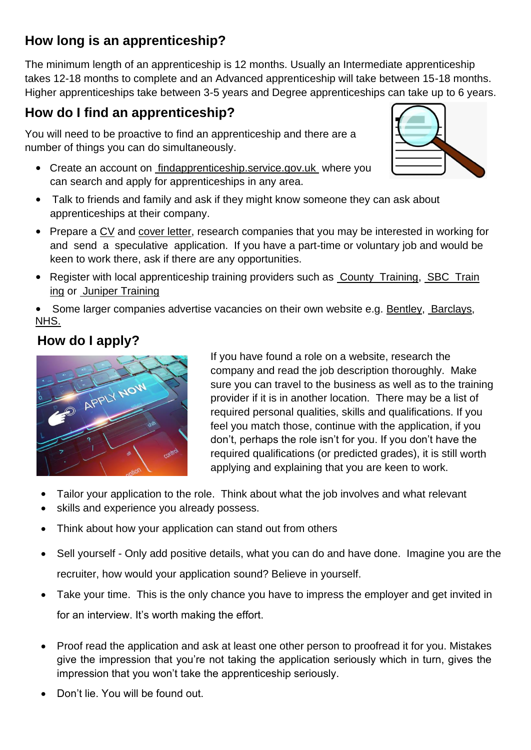# **How long is an apprenticeship?**

The minimum length of an apprenticeship is 12 months. Usually an Intermediate apprenticeship takes 12-18 months to complete and an Advanced apprenticeship will take between 15-18 months. Higher apprenticeships take between 3-5 years and Degree apprenticeships can take up to 6 years.

# **How do I find an apprenticeship?**

You will need to be proactive to find an apprenticeship and there are a number of things you can do simultaneously.

• Create an account on [findapprenticeship.service.gov.uk where you](https://www.findapprenticeship.service.gov.uk/) can search and apply for apprenticeships in any area.



- Talk to friends and family and ask if they might know someone they can ask about apprenticeships at their company.
- Prepare a CV [and](http://marchesschool.co.uk/wp-content/uploads/2020/06/How-to-write-a-first-CV.pdf) [cover letter, research companies that you may be interested in working for](http://marchesschool.co.uk/wp-content/uploads/2020/06/Apprenticeship-application-letter.pdf) and send a speculative application. If you have a part-time or voluntary job and would be keen to work there, ask if there are any opportunities.
- Register with local apprenticeship training providers such as [County Training,](https://www.ctapprenticeships.co.uk/) SBC Train [ing](https://www.sbc-training.co.uk/) or [Juniper Training](https://www.junipertraining.co.uk/)

• Some larger companies advertise vacancies on their own website e.g. [Bentley,](https://www.bentleycareers.com/en/your-bentley-career/your-skills-your-career/apprenticeships.html) [Barclays,](https://joinus.barclays/eme/apprenticeships/) [NHS.](https://www.jobs.sath.nhs.uk/find-job/apprenticeships)

## **How do I apply?**



If you have found a role on a website, research the company and read the job description thoroughly. Make sure you can travel to the business as well as to the training provider if it is in another location. There may be a list of required personal qualities, skills and qualifications. If you feel you match those, continue with the application, if you don't, perhaps the role isn't for you. If you don't have the required qualifications (or predicted grades), it is still worth applying and explaining that you are keen to work.

- Tailor your application to the role. Think about what the job involves and what relevant
- skills and experience you already possess.
- Think about how your application can stand out from others
- Sell yourself Only add positive details, what you can do and have done. Imagine you are the recruiter, how would your application sound? Believe in yourself.
- Take your time. This is the only chance you have to impress the employer and get invited in for an interview. It's worth making the effort.
- Proof read the application and ask at least one other person to proofread it for you. Mistakes give the impression that you're not taking the application seriously which in turn, gives the impression that you won't take the apprenticeship seriously.
- Don't lie. You will be found out.